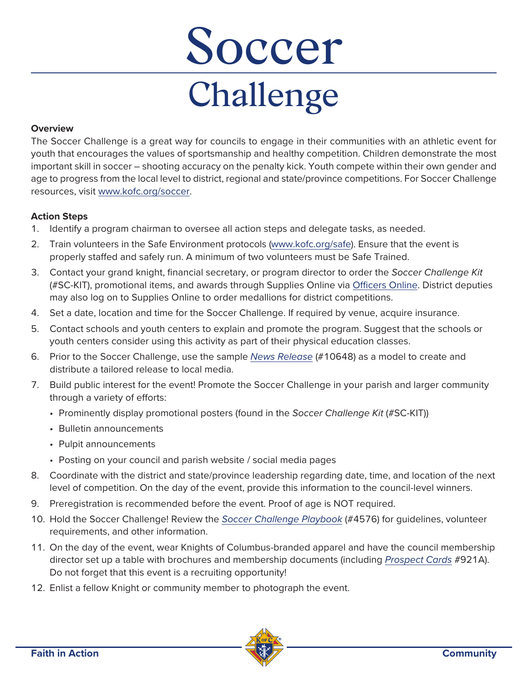# Challenge  $\overline{\mathbf{C}}$

## **Overview**

The Soccer Challenge is a great way for councils to engage in their communities with an athletic event for youth that encourages the values of sportsmanship and healthy competition. Children demonstrate the most important skill in soccer – shooting accuracy on the penalty kick. Youth compete within their own gender and age to progress from the local level to district, regional and state/province competitions. For Soccer Challenge resources, visit [www.kofc.org/soccer.](https://kofc.org/en/programs/community/soccer-challenge.html)

# **Action Steps**

- 1. Identify a program chairman to oversee all action steps and delegate tasks, as needed.
- 2. Train volunteers in the Safe Environment protocols [\(www.kofc.org/safe\)](http://www.kofc.org/safe). Ensure that the event is properly staffed and safely run. A minimum of two volunteers must be Safe Trained.
- 3. Contact your grand knight, financial secretary, or program director to order the Soccer Challenge Kit (#SC-KIT), promotional items, and awards through Supplies Online via [Officers Online.](https://www.kofc.org/applicationportal/AuthorizeUser.action) District deputies may also log on to Supplies Online to order medallions for district competitions.
- 4. Set a date, location and time for the Soccer Challenge. If required by venue, acquire insurance.
- 5. Contact schools and youth centers to explain and promote the program. Suggest that the schools or youth centers consider using this activity as part of their physical education classes.
- 6. Prior to the Soccer Challenge, use the sample [News Release](https://www.kofc.org/en/resources/faith-in-action-programs/community/soccer-challenge/10648-soccer-challenge-news-release-fillable.pdf) (#10648) as a model to create and distribute a tailored release to local media.
- 7. Build public interest for the event! Promote the Soccer Challenge in your parish and larger community through a variety of efforts:
	- Prominently display promotional posters (found in the Soccer Challenge Kit (#SC-KIT))
	- Bulletin announcements
	- Pulpit announcements
	- Posting on your council and parish website / social media pages
- 8. Coordinate with the district and state/province leadership regarding date, time, and location of the next level of competition. On the day of the event, provide this information to the council-level winners.
- 9. Preregistration is recommended before the event. Proof of age is NOT required.
- 10. Hold the Soccer Challenge! Review the [Soccer Challenge Playbook](https://www.kofc.org/en/resources/faith-in-action-programs/community/soccer-challenge/4576-soccer-challenge-playbook.pdf) (#4576) for guidelines, volunteer requirements, and other information.
- 11. On the day of the event, wear Knights of Columbus-branded apparel and have the council membership director set up a table with brochures and membership documents (including [Prospect Cards](https://www.kofc.org/un/en/resources/membership/921a-prospect-card.pdf) #921A). Do not forget that this event is a recruiting opportunity!
- 12. Enlist a fellow Knight or community member to photograph the event.